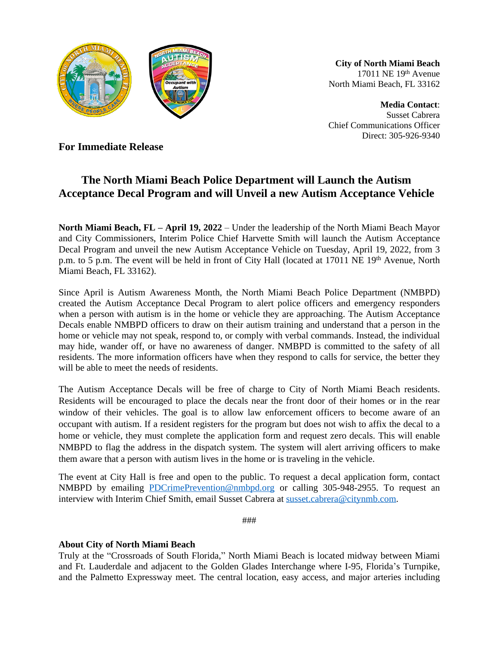

**City of North Miami Beach** 17011 NE 19th Avenue North Miami Beach, FL 33162

**Media Contact**: Susset Cabrera Chief Communications Officer Direct: 305-926-9340

**For Immediate Release**

## **The North Miami Beach Police Department will Launch the Autism Acceptance Decal Program and will Unveil a new Autism Acceptance Vehicle**

**North Miami Beach, FL – April 19, 2022** – Under the leadership of the North Miami Beach Mayor and City Commissioners, Interim Police Chief Harvette Smith will launch the Autism Acceptance Decal Program and unveil the new Autism Acceptance Vehicle on Tuesday, April 19, 2022, from 3 p.m. to 5 p.m. The event will be held in front of City Hall (located at 17011 NE 19<sup>th</sup> Avenue, North Miami Beach, FL 33162).

Since April is Autism Awareness Month, the North Miami Beach Police Department (NMBPD) created the Autism Acceptance Decal Program to alert police officers and emergency responders when a person with autism is in the home or vehicle they are approaching. The Autism Acceptance Decals enable NMBPD officers to draw on their autism training and understand that a person in the home or vehicle may not speak, respond to, or comply with verbal commands. Instead, the individual may hide, wander off, or have no awareness of danger. NMBPD is committed to the safety of all residents. The more information officers have when they respond to calls for service, the better they will be able to meet the needs of residents.

The Autism Acceptance Decals will be free of charge to City of North Miami Beach residents. Residents will be encouraged to place the decals near the front door of their homes or in the rear window of their vehicles. The goal is to allow law enforcement officers to become aware of an occupant with autism. If a resident registers for the program but does not wish to affix the decal to a home or vehicle, they must complete the application form and request zero decals. This will enable NMBPD to flag the address in the dispatch system. The system will alert arriving officers to make them aware that a person with autism lives in the home or is traveling in the vehicle.

The event at City Hall is free and open to the public. To request a decal application form, contact NMBPD by emailing [PDCrimePrevention@nmbpd.org](mailto:PDCrimePrevention@nmbpd.org) or calling 305-948-2955. To request an interview with Interim Chief Smith, email Susset Cabrera at [susset.cabrera@citynmb.com](mailto:susset.cabrera@citynmb.com).

###

## **About City of North Miami Beach**

Truly at the "Crossroads of South Florida," North Miami Beach is located midway between Miami and Ft. Lauderdale and adjacent to the Golden Glades Interchange where I-95, Florida's Turnpike, and the Palmetto Expressway meet. The central location, easy access, and major arteries including